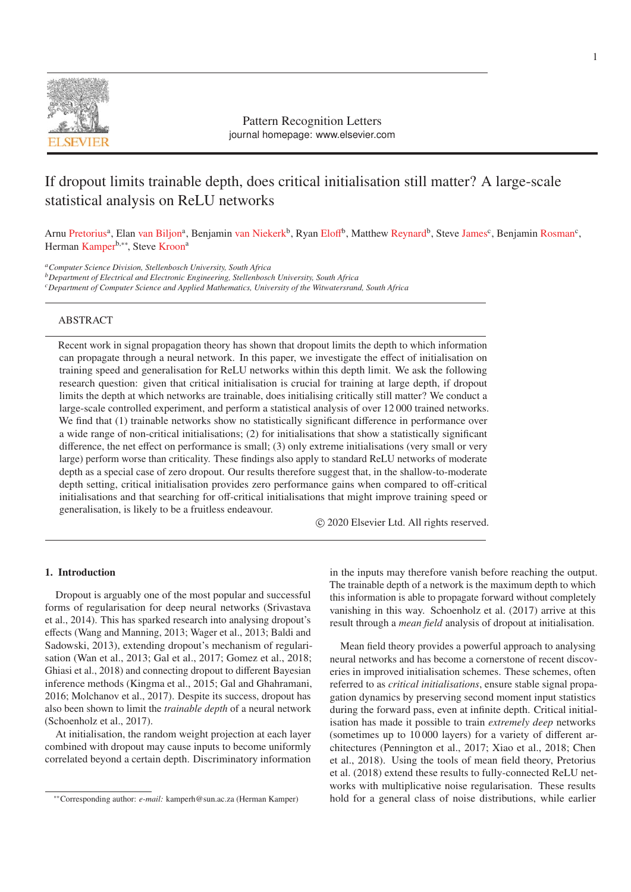

Pattern Recognition Letters journal homepage: www.elsevier.com

# If dropout limits trainable depth, does critical initialisation still matter? A large-scale statistical analysis on ReLU networks

Arnu Pretorius<sup>a</sup>, Elan van Biljon<sup>a</sup>, Benjamin van Niekerk<sup>b</sup>, Ryan Eloff<sup>b</sup>, Matthew Reynard<sup>b</sup>, Steve James<sup>c</sup>, Benjamin Rosman<sup>c</sup>, Herman Kamper<sup>b,∗∗</sup>, Steve Kroon<sup>a</sup>

*aComputer Science Division, Stellenbosch University, South Africa*

*bDepartment of Electrical and Electronic Engineering, Stellenbosch University, South Africa*

*cDepartment of Computer Science and Applied Mathematics, University of the Witwatersrand, South Africa*

# ABSTRACT

Recent work in signal propagation theory has shown that dropout limits the depth to which information can propagate through a neural network. In this paper, we investigate the effect of initialisation on training speed and generalisation for ReLU networks within this depth limit. We ask the following research question: given that critical initialisation is crucial for training at large depth, if dropout limits the depth at which networks are trainable, does initialising critically still matter? We conduct a large-scale controlled experiment, and perform a statistical analysis of over 12 000 trained networks. We find that (1) trainable networks show no statistically significant difference in performance over a wide range of non-critical initialisations; (2) for initialisations that show a statistically significant difference, the net effect on performance is small; (3) only extreme initialisations (very small or very large) perform worse than criticality. These findings also apply to standard ReLU networks of moderate depth as a special case of zero dropout. Our results therefore suggest that, in the shallow-to-moderate depth setting, critical initialisation provides zero performance gains when compared to off-critical initialisations and that searching for off-critical initialisations that might improve training speed or generalisation, is likely to be a fruitless endeavour.

c 2020 Elsevier Ltd. All rights reserved.

# 1. Introduction

Dropout is arguably one of the most popular and successful forms of regularisation for deep neural networks (Srivastava et al., 2014). This has sparked research into analysing dropout's effects (Wang and Manning, 2013; Wager et al., 2013; Baldi and Sadowski, 2013), extending dropout's mechanism of regularisation (Wan et al., 2013; Gal et al., 2017; Gomez et al., 2018; Ghiasi et al., 2018) and connecting dropout to different Bayesian inference methods (Kingma et al., 2015; Gal and Ghahramani, 2016; Molchanov et al., 2017). Despite its success, dropout has also been shown to limit the *trainable depth* of a neural network (Schoenholz et al., 2017).

At initialisation, the random weight projection at each layer combined with dropout may cause inputs to become uniformly correlated beyond a certain depth. Discriminatory information

in the inputs may therefore vanish before reaching the output. The trainable depth of a network is the maximum depth to which this information is able to propagate forward without completely vanishing in this way. Schoenholz et al. (2017) arrive at this result through a *mean field* analysis of dropout at initialisation.

Mean field theory provides a powerful approach to analysing neural networks and has become a cornerstone of recent discoveries in improved initialisation schemes. These schemes, often referred to as *critical initialisations*, ensure stable signal propagation dynamics by preserving second moment input statistics during the forward pass, even at infinite depth. Critical initialisation has made it possible to train *extremely deep* networks (sometimes up to 10 000 layers) for a variety of different architectures (Pennington et al., 2017; Xiao et al., 2018; Chen et al., 2018). Using the tools of mean field theory, Pretorius et al. (2018) extend these results to fully-connected ReLU networks with multiplicative noise regularisation. These results hold for a general class of noise distributions, while earlier

<sup>∗∗</sup>Corresponding author: *e-mail:* kamperh@sun.ac.za (Herman Kamper)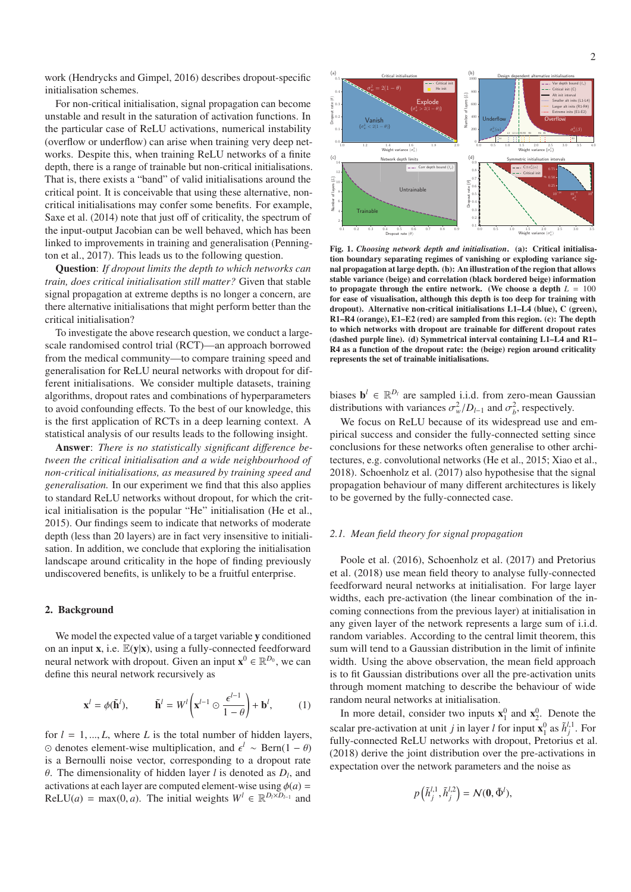work (Hendrycks and Gimpel, 2016) describes dropout-specific initialisation schemes.

For non-critical initialisation, signal propagation can become unstable and result in the saturation of activation functions. In the particular case of ReLU activations, numerical instability (overflow or underflow) can arise when training very deep networks. Despite this, when training ReLU networks of a finite depth, there is a range of trainable but non-critical initialisations. That is, there exists a "band" of valid initialisations around the critical point. It is conceivable that using these alternative, noncritical initialisations may confer some benefits. For example, Saxe et al. (2014) note that just off of criticality, the spectrum of the input-output Jacobian can be well behaved, which has been linked to improvements in training and generalisation (Pennington et al., 2017). This leads us to the following question.

Question: *If dropout limits the depth to which networks can train, does critical initialisation still matter?* Given that stable signal propagation at extreme depths is no longer a concern, are there alternative initialisations that might perform better than the critical initialisation?

To investigate the above research question, we conduct a largescale randomised control trial (RCT)—an approach borrowed from the medical community—to compare training speed and generalisation for ReLU neural networks with dropout for different initialisations. We consider multiple datasets, training algorithms, dropout rates and combinations of hyperparameters to avoid confounding effects. To the best of our knowledge, this is the first application of RCTs in a deep learning context. A statistical analysis of our results leads to the following insight.

Answer: There is no statistically significant difference be*tween the critical initialisation and a wide neighbourhood of non-critical initialisations, as measured by training speed and generalisation.* In our experiment we find that this also applies to standard ReLU networks without dropout, for which the critical initialisation is the popular "He" initialisation (He et al., 2015). Our findings seem to indicate that networks of moderate depth (less than 20 layers) are in fact very insensitive to initialisation. In addition, we conclude that exploring the initialisation landscape around criticality in the hope of finding previously undiscovered benefits, is unlikely to be a fruitful enterprise.

## 2. Background

We model the expected value of a target variable y conditioned on an input **x**, i.e.  $E(y|x)$ , using a fully-connected feedforward neural network with dropout. Given an input  $\mathbf{x}^0 \in \mathbb{R}^{D_0}$ , we can define this neural network recursively as

$$
\mathbf{x}^{l} = \phi(\tilde{\mathbf{h}}^{l}), \qquad \tilde{\mathbf{h}}^{l} = W^{l} \left( \mathbf{x}^{l-1} \odot \frac{\epsilon^{l-1}}{1-\theta} \right) + \mathbf{b}^{l}, \qquad (1)
$$

for  $l = 1, ..., L$ , where *L* is the total number of hidden layers, denotes element-wise multiplication, and *<sup>l</sup>* ∼ Bern(1 − θ) is a Bernoulli noise vector, corresponding to a dropout rate θ. The dimensionality of hidden layer *l* is denoted as *Dl*, and activations at each layer are computed element-wise using  $\phi(a)$  =  $ReLU(a) = max(0, a)$ . The initial weights  $W^l \in \mathbb{R}^{D_l \times D_{l-1}}$  and



Fig. 1. *Choosing network depth and initialisation*. (a): Critical initialisation boundary separating regimes of vanishing or exploding variance signal propagation at large depth. (b): An illustration of the region that allows stable variance (beige) and correlation (black bordered beige) information to propagate through the entire network. (We choose a depth  $L = 100$ for ease of visualisation, although this depth is too deep for training with dropout). Alternative non-critical initialisations L1–L4 (blue), C (green), R1–R4 (orange), E1–E2 (red) are sampled from this region. (c): The depth to which networks with dropout are trainable for different dropout rates (dashed purple line). (d) Symmetrical interval containing L1–L4 and R1– R4 as a function of the dropout rate: the (beige) region around criticality represents the set of trainable initialisations.

biases  $\mathbf{b}^l \in \mathbb{R}^{D_l}$  are sampled i.i.d. from zero-mean Gaussian distributions with variances  $\sigma_w^2/D_{l-1}$  and  $\sigma_b^2$ , respectively.

We focus on ReLU because of its widespread use and empirical success and consider the fully-connected setting since conclusions for these networks often generalise to other architectures, e.g. convolutional networks (He et al., 2015; Xiao et al., 2018). Schoenholz et al. (2017) also hypothesise that the signal propagation behaviour of many different architectures is likely to be governed by the fully-connected case.

#### *2.1. Mean field theory for signal propagation*

Poole et al. (2016), Schoenholz et al. (2017) and Pretorius et al. (2018) use mean field theory to analyse fully-connected feedforward neural networks at initialisation. For large layer widths, each pre-activation (the linear combination of the incoming connections from the previous layer) at initialisation in any given layer of the network represents a large sum of i.i.d. random variables. According to the central limit theorem, this sum will tend to a Gaussian distribution in the limit of infinite width. Using the above observation, the mean field approach is to fit Gaussian distributions over all the pre-activation units through moment matching to describe the behaviour of wide random neural networks at initialisation.

In more detail, consider two inputs  $\mathbf{x}_1^0$  and  $\mathbf{x}_2^0$ . Denote the scalar pre-activation at unit *j* in layer *l* for input  $\mathbf{x}_1^0$  as  $\tilde{h}_j^{l,1}$ . For fully-connected ReLU networks with dropout, Pretorius et al. (2018) derive the joint distribution over the pre-activations in expectation over the network parameters and the noise as

$$
p\left(\tilde{h}_j^{l,1}, \tilde{h}_j^{l,2}\right) = \mathcal{N}(\mathbf{0}, \tilde{\Phi}^l),
$$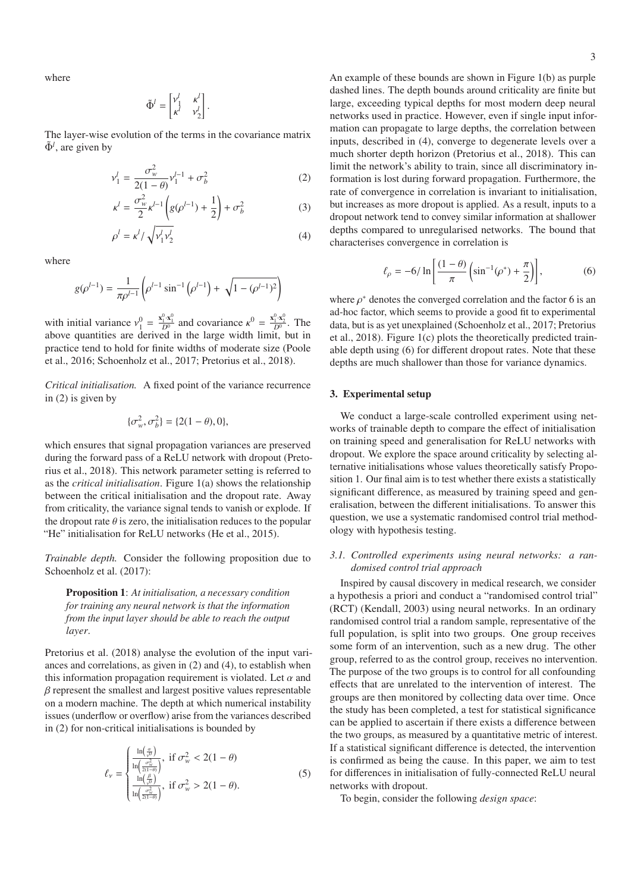where

$$
\tilde{\Phi}^l = \begin{bmatrix} v_1^l & \kappa^l \\ \kappa^l & v_2^l \end{bmatrix}
$$

The layer-wise evolution of the terms in the covariance matrix  $\tilde{\Phi}^l$ , are given by

$$
v_1^l = \frac{\sigma_w^2}{2(1-\theta)} v_1^{l-1} + \sigma_b^2
$$
 (2)

.

$$
\kappa^{l} = \frac{\sigma_{w}^{2}}{2} \kappa^{l-1} \left( g(\rho^{l-1}) + \frac{1}{2} \right) + \sigma_{b}^{2} \tag{3}
$$

$$
\rho^l = \kappa^l / \sqrt{v_1^l v_2^l} \tag{4}
$$

where

$$
g(\rho^{l-1}) = \frac{1}{\pi \rho^{l-1}} \left( \rho^{l-1} \sin^{-1} \left( \rho^{l-1} \right) + \sqrt{1 - (\rho^{l-1})^2} \right)
$$

with initial variance  $v_1^0 = \frac{x_1^0 \cdot x_1^0}{D^0}$  and covariance  $\kappa^0 = \frac{x_1^0 \cdot x_2^0}{D^0}$ . The above quantities are derived in the large width limit, but in practice tend to hold for finite widths of moderate size (Poole et al., 2016; Schoenholz et al., 2017; Pretorius et al., 2018).

*Critical initialisation.* A fixed point of the variance recurrence in (2) is given by

$$
\{\sigma_w^2, \sigma_b^2\} = \{2(1-\theta), 0\},\
$$

which ensures that signal propagation variances are preserved during the forward pass of a ReLU network with dropout (Pretorius et al., 2018). This network parameter setting is referred to as the *critical initialisation*. Figure 1(a) shows the relationship between the critical initialisation and the dropout rate. Away from criticality, the variance signal tends to vanish or explode. If the dropout rate  $\theta$  is zero, the initialisation reduces to the popular "He" initialisation for ReLU networks (He et al., 2015).

*Trainable depth.* Consider the following proposition due to Schoenholz et al. (2017):

Proposition 1: *At initialisation, a necessary condition for training any neural network is that the information from the input layer should be able to reach the output layer*.

Pretorius et al. (2018) analyse the evolution of the input variances and correlations, as given in (2) and (4), to establish when this information propagation requirement is violated. Let  $\alpha$  and  $\beta$  represent the smallest and largest positive values representable on a modern machine. The depth at which numerical instability issues (underflow or overflow) arise from the variances described in (2) for non-critical initialisations is bounded by

$$
\ell_{\nu} = \begin{cases} \frac{\ln\left(\frac{\sigma}{\nu 0}\right)}{\ln\left(\frac{\sigma_{\nu}^2}{2(1-\theta)}\right)}, & \text{if } \sigma_{\nu}^2 < 2(1-\theta) \\ \frac{\ln\left(\frac{\beta}{\nu 0}\right)}{\ln\left(\frac{\sigma_{\nu}^2}{2(1-\theta)}\right)}, & \text{if } \sigma_{\nu}^2 > 2(1-\theta). \end{cases}
$$
(5)

An example of these bounds are shown in Figure 1(b) as purple dashed lines. The depth bounds around criticality are finite but large, exceeding typical depths for most modern deep neural networks used in practice. However, even if single input information can propagate to large depths, the correlation between inputs, described in (4), converge to degenerate levels over a much shorter depth horizon (Pretorius et al., 2018). This can limit the network's ability to train, since all discriminatory information is lost during forward propagation. Furthermore, the rate of convergence in correlation is invariant to initialisation, but increases as more dropout is applied. As a result, inputs to a dropout network tend to convey similar information at shallower depths compared to unregularised networks. The bound that characterises convergence in correlation is

$$
\ell_{\rho} = -6/\ln\left[\frac{(1-\theta)}{\pi}\left(\sin^{-1}(\rho^*) + \frac{\pi}{2}\right)\right],\tag{6}
$$

where  $\rho^*$  denotes the converged correlation and the factor 6 is an ad-hoc factor, which seems to provide a good fit to experimental data, but is as yet unexplained (Schoenholz et al., 2017; Pretorius et al., 2018). Figure 1(c) plots the theoretically predicted trainable depth using (6) for different dropout rates. Note that these depths are much shallower than those for variance dynamics.

## 3. Experimental setup

We conduct a large-scale controlled experiment using networks of trainable depth to compare the effect of initialisation on training speed and generalisation for ReLU networks with dropout. We explore the space around criticality by selecting alternative initialisations whose values theoretically satisfy Proposition 1. Our final aim is to test whether there exists a statistically significant difference, as measured by training speed and generalisation, between the different initialisations. To answer this question, we use a systematic randomised control trial methodology with hypothesis testing.

## *3.1. Controlled experiments using neural networks: a randomised control trial approach*

Inspired by causal discovery in medical research, we consider a hypothesis a priori and conduct a "randomised control trial" (RCT) (Kendall, 2003) using neural networks. In an ordinary randomised control trial a random sample, representative of the full population, is split into two groups. One group receives some form of an intervention, such as a new drug. The other group, referred to as the control group, receives no intervention. The purpose of the two groups is to control for all confounding effects that are unrelated to the intervention of interest. The groups are then monitored by collecting data over time. Once the study has been completed, a test for statistical significance can be applied to ascertain if there exists a difference between the two groups, as measured by a quantitative metric of interest. If a statistical significant difference is detected, the intervention is confirmed as being the cause. In this paper, we aim to test for differences in initialisation of fully-connected ReLU neural networks with dropout.

To begin, consider the following *design space*: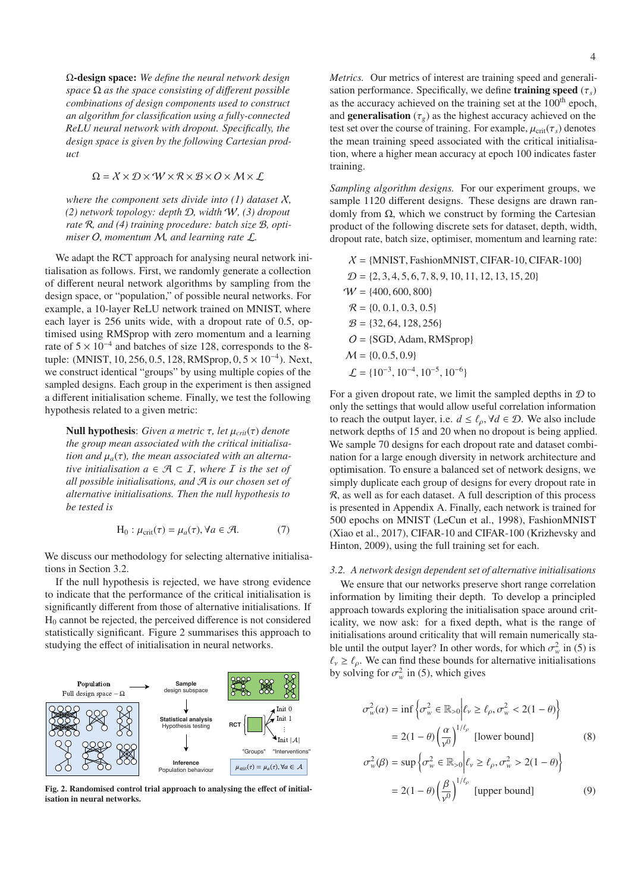Ω-design space: *We define the neural network design space* Ω *as the space consisting of di*ff*erent possible combinations of design components used to construct an algorithm for classification using a fully-connected ReLU neural network with dropout. Specifically, the design space is given by the following Cartesian product*

#### $\Omega = X \times \mathcal{D} \times \mathcal{W} \times \mathcal{R} \times \mathcal{B} \times \mathcal{O} \times \mathcal{M} \times \mathcal{L}$

*where the component sets divide into (1) dataset*  $X$ , *(2) network topology: depth* D*, width* W*, (3) dropout rate* R*, and (4) training procedure: batch size* B*, optimiser* O*, momentum* M*, and learning rate* L*.*

We adapt the RCT approach for analysing neural network initialisation as follows. First, we randomly generate a collection of different neural network algorithms by sampling from the design space, or "population," of possible neural networks. For example, a 10-layer ReLU network trained on MNIST, where each layer is 256 units wide, with a dropout rate of 0.5, optimised using RMSprop with zero momentum and a learning rate of  $5 \times 10^{-4}$  and batches of size 128, corresponds to the 8tuple: (MNIST, 10, 256, 0.5, 128, RMSprop, 0, 5 × 10<sup>-4</sup>). Next, we construct identical "groups" by using multiple copies of the sampled designs. Each group in the experiment is then assigned a different initialisation scheme. Finally, we test the following hypothesis related to a given metric:

Null hypothesis: *Given a metric* τ*, let* μ*crit*(τ) *denote the group mean associated with the critical initialisation and*  $\mu_a(\tau)$ *, the mean associated with an alternative initialisation*  $a \in \mathcal{A} \subset I$ *, where*  $I$  *is the set of all possible initialisations, and* A *is our chosen set of alternative initialisations. Then the null hypothesis to be tested is*

$$
H_0: \mu_{crit}(\tau) = \mu_a(\tau), \forall a \in \mathcal{A}.
$$
 (7)

We discuss our methodology for selecting alternative initialisations in Section 3.2.

If the null hypothesis is rejected, we have strong evidence to indicate that the performance of the critical initialisation is significantly different from those of alternative initialisations. If  $H<sub>0</sub>$  cannot be rejected, the perceived difference is not considered statistically significant. Figure 2 summarises this approach to studying the effect of initialisation in neural networks.



Fig. 2. Randomised control trial approach to analysing the effect of initialisation in neural networks.

*Metrics.* Our metrics of interest are training speed and generalisation performance. Specifically, we define **training speed**  $(\tau_s)$ as the accuracy achieved on the training set at the 100<sup>th</sup> epoch, and **generalisation** ( $\tau_g$ ) as the highest accuracy achieved on the test set over the course of training. For example,  $\mu_{\text{crit}}(\tau_s)$  denotes the mean training speed associated with the critical initialisation, where a higher mean accuracy at epoch 100 indicates faster training.

*Sampling algorithm designs.* For our experiment groups, we sample 1120 different designs. These designs are drawn randomly from  $Ω$ , which we construct by forming the Cartesian product of the following discrete sets for dataset, depth, width, dropout rate, batch size, optimiser, momentum and learning rate:

$$
\mathcal{X} = \{MNIST, FasionMNIST, CIFAR-10, CIFAR-100\} \n\mathcal{D} = \{2, 3, 4, 5, 6, 7, 8, 9, 10, 11, 12, 13, 15, 20\} \n\mathcal{W} = \{400, 600, 800\} \n\mathcal{R} = \{0, 0.1, 0.3, 0.5\} \n\mathcal{B} = \{32, 64, 128, 256\} \n\mathcal{O} = \{SGD, Adam, RMSprop\} \n\mathcal{M} = \{0, 0.5, 0.9\} \n\mathcal{L} = \{10^{-3}, 10^{-4}, 10^{-5}, 10^{-6}\}
$$

For a given dropout rate, we limit the sampled depths in  $D$  to only the settings that would allow useful correlation information to reach the output layer, i.e.  $d \leq \ell_{\rho}, \forall d \in \mathcal{D}$ . We also include network depths of 15 and 20 when no dropout is being applied. We sample 70 designs for each dropout rate and dataset combination for a large enough diversity in network architecture and optimisation. To ensure a balanced set of network designs, we simply duplicate each group of designs for every dropout rate in R, as well as for each dataset. A full description of this process is presented in Appendix A. Finally, each network is trained for 500 epochs on MNIST (LeCun et al., 1998), FashionMNIST (Xiao et al., 2017), CIFAR-10 and CIFAR-100 (Krizhevsky and Hinton, 2009), using the full training set for each.

## *3.2. A network design dependent set of alternative initialisations*

We ensure that our networks preserve short range correlation information by limiting their depth. To develop a principled approach towards exploring the initialisation space around criticality, we now ask: for a fixed depth, what is the range of initialisations around criticality that will remain numerically stable until the output layer? In other words, for which  $\sigma_w^2$  in (5) is  $\ell_{\nu} \geq \ell_{\rho}$ . We can find these bounds for alternative initialisations by solving for  $\sigma_w^2$  in (5), which gives

$$
\sigma_w^2(\alpha) = \inf \left\{ \sigma_w^2 \in \mathbb{R}_{>0} \middle| \ell_v \ge \ell_\rho, \sigma_w^2 < 2(1 - \theta) \right\}
$$
\n
$$
= 2(1 - \theta) \left( \frac{\alpha}{\nu^0} \right)^{1/\ell_\rho} \text{ [lower bound]} \tag{8}
$$

$$
\sigma_w^2(\beta) = \sup \left\{ \sigma_w^2 \in \mathbb{R}_{>0} \middle| \ell_v \ge \ell_\rho, \sigma_w^2 > 2(1 - \theta) \right\}
$$

$$
= 2(1 - \theta) \left( \frac{\beta}{v^0} \right)^{1/\ell_\rho} \text{[upper bound]} \tag{9}
$$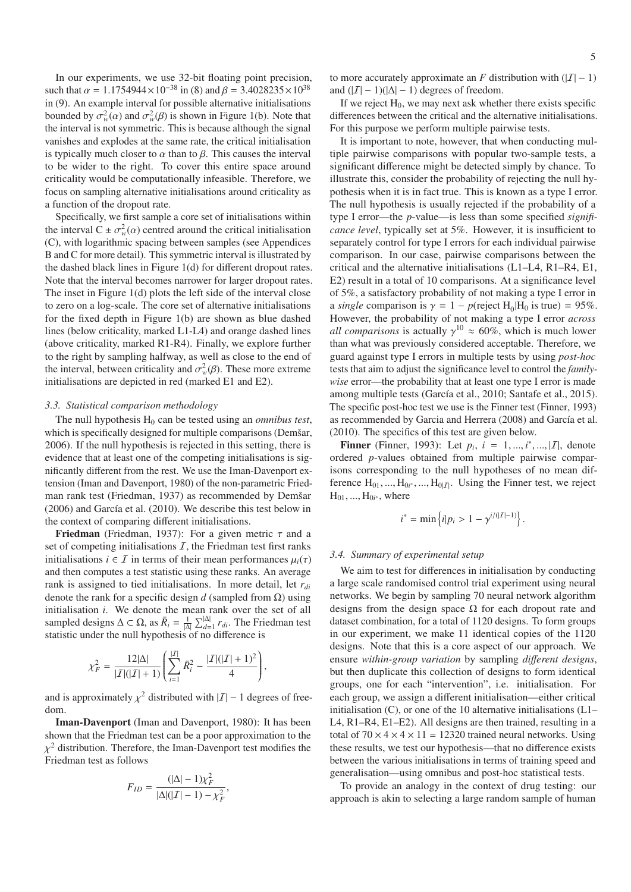In our experiments, we use 32-bit floating point precision, such that  $\alpha = 1.1754944 \times 10^{-38}$  in (8) and  $\beta = 3.4028235 \times 10^{38}$ in (9). An example interval for possible alternative initialisations bounded by  $\sigma_w^2(\alpha)$  and  $\sigma_w^2(\beta)$  is shown in Figure 1(b). Note that the interval is not symmetric. This is because although the signal vanishes and explodes at the same rate, the critical initialisation is typically much closer to  $\alpha$  than to  $\beta$ . This causes the interval to be wider to the right. To cover this entire space around criticality would be computationally infeasible. Therefore, we focus on sampling alternative initialisations around criticality as a function of the dropout rate.

Specifically, we first sample a core set of initialisations within the interval  $C \pm \sigma_w^2(\alpha)$  centred around the critical initialisation (C), with logarithmic spacing between samples (see Appendices B and C for more detail). This symmetric interval is illustrated by the dashed black lines in Figure 1(d) for different dropout rates. Note that the interval becomes narrower for larger dropout rates. The inset in Figure 1(d) plots the left side of the interval close to zero on a log-scale. The core set of alternative initialisations for the fixed depth in Figure 1(b) are shown as blue dashed lines (below criticality, marked L1-L4) and orange dashed lines (above criticality, marked R1-R4). Finally, we explore further to the right by sampling halfway, as well as close to the end of the interval, between criticality and  $\sigma_w^2(\beta)$ . These more extreme initialisations are depicted in red (marked E1 and E2).

#### *3.3. Statistical comparison methodology*

The null hypothesis  $H_0$  can be tested using an *omnibus test*, which is specifically designed for multiple comparisons (Demšar, 2006). If the null hypothesis is rejected in this setting, there is evidence that at least one of the competing initialisations is significantly different from the rest. We use the Iman-Davenport extension (Iman and Davenport, 1980) of the non-parametric Friedman rank test (Friedman, 1937) as recommended by Demšar (2006) and García et al. (2010). We describe this test below in the context of comparing different initialisations.

Friedman (Friedman, 1937): For a given metric  $\tau$  and a set of competing initialisations  $I$ , the Friedman test first ranks initialisations  $i \in \mathcal{I}$  in terms of their mean performances  $\mu_i(\tau)$ and then computes a test statistic using these ranks. An average rank is assigned to tied initialisations. In more detail, let *rdi* denote the rank for a specific design  $d$  (sampled from  $\Omega$ ) using initialisation *i*. We denote the mean rank over the set of all sampled designs  $\Delta \subset \Omega$ , as  $\bar{R}_i = \frac{1}{|\Delta|} \sum_{d=1}^{|\Delta|} r_{di}$ . The Friedman test statistic under the null hypothesis of no difference is

$$
\chi_F^2 = \frac{12|\Delta|}{|I|(|I|+1)} \left( \sum_{i=1}^{|I|} \bar{R}_i^2 - \frac{|I|(|I|+1)^2}{4} \right),
$$

and is approximately  $\chi^2$  distributed with  $|I| - 1$  degrees of freedom.

Iman-Davenport (Iman and Davenport, 1980): It has been shown that the Friedman test can be a poor approximation to the  $\chi^2$  distribution. Therefore, the Iman-Davenport test modifies the Friedman test as follows

$$
F_{ID} = \frac{(|\Delta| - 1)\chi_F^2}{|\Delta|(|\mathcal{I}| - 1) - \chi_F^2},
$$

to more accurately approximate an *F* distribution with  $(|I| - 1)$ and  $(|\mathcal{I}| - 1)(|\Delta| - 1)$  degrees of freedom.

If we reject  $H_0$ , we may next ask whether there exists specific differences between the critical and the alternative initialisations. For this purpose we perform multiple pairwise tests.

It is important to note, however, that when conducting multiple pairwise comparisons with popular two-sample tests, a significant difference might be detected simply by chance. To illustrate this, consider the probability of rejecting the null hypothesis when it is in fact true. This is known as a type I error. The null hypothesis is usually rejected if the probability of a type I error—the *p*-value—is less than some specified *significance level*, typically set at 5%. However, it is insufficient to separately control for type I errors for each individual pairwise comparison. In our case, pairwise comparisons between the critical and the alternative initialisations (L1–L4, R1–R4, E1, E2) result in a total of 10 comparisons. At a significance level of 5%, a satisfactory probability of not making a type I error in a *single* comparison is  $\gamma = 1 - p$ (reject H<sub>0</sub>|H<sub>0</sub> is true) = 95%. However, the probability of not making a type I error *across all comparisons* is actually  $\gamma^{10} \approx 60\%$ , which is much lower than what was previously considered acceptable. Therefore, we guard against type I errors in multiple tests by using *post-hoc* tests that aim to adjust the significance level to control the *familywise* error—the probability that at least one type I error is made among multiple tests (García et al., 2010; Santafe et al., 2015). The specific post-hoc test we use is the Finner test (Finner, 1993) as recommended by Garcia and Herrera (2008) and García et al. (2010). The specifics of this test are given below.

**Finner** (Finner, 1993): Let  $p_i$ ,  $i = 1, ..., i^*, ..., |I|$ , denote ordered *p*-values obtained from multiple pairwise comparisons corresponding to the null hypotheses of no mean difference  $H_{01},...,H_{0i^*},...,H_{0|I|}$ . Using the Finner test, we reject  $H_{01}, ..., H_{0i^*}$ , where

$$
i^* = \min \{ i | p_i > 1 - \gamma^{i/(|I|-1)} \}.
$$

### *3.4. Summary of experimental setup*

We aim to test for differences in initialisation by conducting a large scale randomised control trial experiment using neural networks. We begin by sampling 70 neural network algorithm designs from the design space  $\Omega$  for each dropout rate and dataset combination, for a total of 1120 designs. To form groups in our experiment, we make 11 identical copies of the 1120 designs. Note that this is a core aspect of our approach. We ensure *within-group variation* by sampling *di*ff*erent designs*, but then duplicate this collection of designs to form identical groups, one for each "intervention", i.e. initialisation. For each group, we assign a different initialisation—either critical initialisation  $(C)$ , or one of the 10 alternative initialisations  $(L1-$ L4, R1–R4, E1–E2). All designs are then trained, resulting in a total of  $70 \times 4 \times 4 \times 11 = 12320$  trained neural networks. Using these results, we test our hypothesis—that no difference exists between the various initialisations in terms of training speed and generalisation—using omnibus and post-hoc statistical tests.

To provide an analogy in the context of drug testing: our approach is akin to selecting a large random sample of human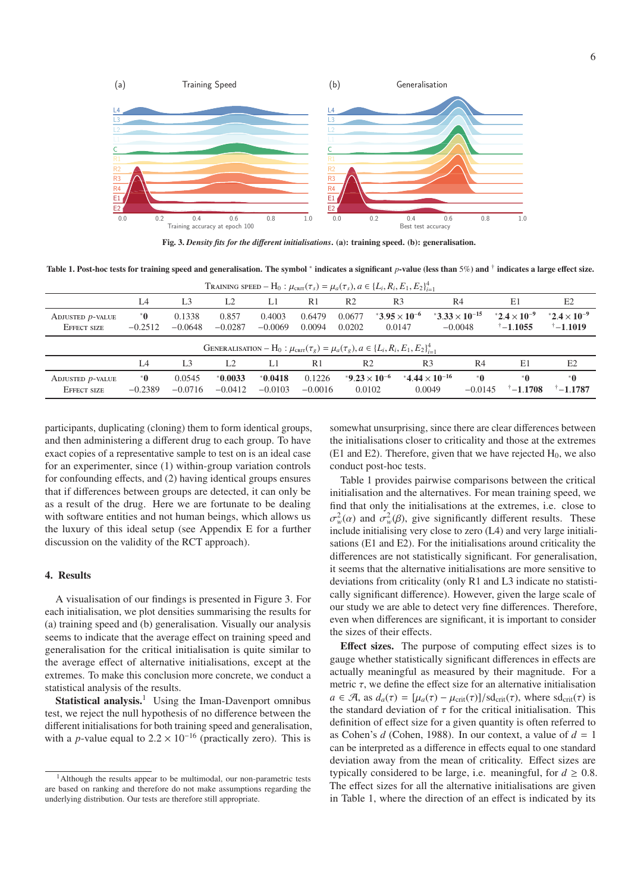

Fig. 3. *Density fits for the di*ff*erent initialisations*. (a): training speed. (b): generalisation.

Table 1. Post-hoc tests for training speed and generalisation. The symbol <sup>∗</sup> indicates a significant *p*-value (less than 5%) and <sup>†</sup> indicates a large effect size.

| TRAINING SPEED - H <sub>0</sub> : $\mu_{\text{cnrt}}(\tau_s) = \mu_a(\tau_s)$ , $a \in \{L_i, R_i, E_1, E_2\}_{i=1}^4$ |                     |                     |                        |                     |                     |                                           |                                  |                                               |                     |                                                         |                                             |
|------------------------------------------------------------------------------------------------------------------------|---------------------|---------------------|------------------------|---------------------|---------------------|-------------------------------------------|----------------------------------|-----------------------------------------------|---------------------|---------------------------------------------------------|---------------------------------------------|
|                                                                                                                        | L <sub>4</sub>      | L <sub>3</sub>      | L <sub>2</sub>         | L1                  | R <sub>1</sub>      | R <sub>2</sub>                            | R <sub>3</sub>                   | R4                                            |                     | E1                                                      | E2                                          |
| ADJUSTED $p$ -VALUE<br><b>EFFECT SIZE</b>                                                                              | $^*$ 0<br>$-0.2512$ | 0.1338<br>$-0.0648$ | 0.857<br>$-0.0287$     | 0.4003<br>$-0.0069$ | 0.6479<br>0.0094    | 0.0677<br>0.0202                          | $*3.95 \times 10^{-6}$<br>0.0147 | *3.33 $\times$ 10 <sup>-15</sup><br>$-0.0048$ |                     | *2.4 $\times$ 10 <sup>-9</sup><br>$^{\dagger} - 1.1055$ | $*2.4 \times 10^{-9}$<br>$\uparrow$ -1.1019 |
| GENERALISATION – H <sub>0</sub> : $\mu_{\text{cnrt}}(\tau_g) = \mu_a(\tau_g), a \in \{L_i, R_i, E_1, E_2\}_{i=1}^4$    |                     |                     |                        |                     |                     |                                           |                                  |                                               |                     |                                                         |                                             |
|                                                                                                                        | IA                  | L <sub>3</sub>      | L <sub>2</sub>         | L1                  | R1                  | R <sub>2</sub>                            |                                  | R <sub>3</sub>                                | R <sub>4</sub>      | E1                                                      | E2                                          |
| ADJUSTED <i>p</i> -VALUE<br><b>EFFECT SIZE</b>                                                                         | $^*$ 0<br>$-0.2389$ | 0.0545<br>$-0.0716$ | $*0.0033$<br>$-0.0412$ | 0.0418<br>$-0.0103$ | 0.1226<br>$-0.0016$ | *9.23 $\times$ 10 <sup>-6</sup><br>0.0102 |                                  | $*4.44 \times 10^{-16}$<br>0.0049             | $^*$ 0<br>$-0.0145$ | $^*$ 0<br>$^{\dagger} - 1.1708$                         | $^*$ 0<br>$^{\dagger} - 1.1787$             |

participants, duplicating (cloning) them to form identical groups, and then administering a different drug to each group. To have exact copies of a representative sample to test on is an ideal case for an experimenter, since (1) within-group variation controls for confounding effects, and (2) having identical groups ensures that if differences between groups are detected, it can only be as a result of the drug. Here we are fortunate to be dealing with software entities and not human beings, which allows us the luxury of this ideal setup (see Appendix E for a further discussion on the validity of the RCT approach).

# 4. Results

A visualisation of our findings is presented in Figure 3. For each initialisation, we plot densities summarising the results for (a) training speed and (b) generalisation. Visually our analysis seems to indicate that the average effect on training speed and generalisation for the critical initialisation is quite similar to the average effect of alternative initialisations, except at the extremes. To make this conclusion more concrete, we conduct a statistical analysis of the results.

**Statistical analysis.**<sup>1</sup> Using the Iman-Davenport omnibus test, we reject the null hypothesis of no difference between the different initialisations for both training speed and generalisation, with a *p*-value equal to  $2.2 \times 10^{-16}$  (practically zero). This is

<sup>1</sup>Although the results appear to be multimodal, our non-parametric tests are based on ranking and therefore do not make assumptions regarding the underlying distribution. Our tests are therefore still appropriate.

somewhat unsurprising, since there are clear differences between the initialisations closer to criticality and those at the extremes (E1 and E2). Therefore, given that we have rejected  $H_0$ , we also conduct post-hoc tests.

Table 1 provides pairwise comparisons between the critical initialisation and the alternatives. For mean training speed, we find that only the initialisations at the extremes, i.e. close to  $\sigma_w^2(\alpha)$  and  $\sigma_w^2(\beta)$ , give significantly different results. These include initialising very close to zero (L4) and very large initialisations (E1 and E2). For the initialisations around criticality the differences are not statistically significant. For generalisation, it seems that the alternative initialisations are more sensitive to deviations from criticality (only R1 and L3 indicate no statistically significant difference). However, given the large scale of our study we are able to detect very fine differences. Therefore, even when differences are significant, it is important to consider the sizes of their effects.

Effect sizes. The purpose of computing effect sizes is to gauge whether statistically significant differences in effects are actually meaningful as measured by their magnitude. For a metric  $\tau$ , we define the effect size for an alternative initialisation  $a \in \mathcal{A}$ , as  $d_a(\tau) = [\mu_a(\tau) - \mu_{\text{crit}}(\tau)] / \text{sd}_{\text{crit}}(\tau)$ , where  $\text{sd}_{\text{crit}}(\tau)$  is the standard deviation of  $\tau$  for the critical initialisation. This definition of effect size for a given quantity is often referred to as Cohen's *d* (Cohen, 1988). In our context, a value of  $d = 1$ can be interpreted as a difference in effects equal to one standard deviation away from the mean of criticality. Effect sizes are typically considered to be large, i.e. meaningful, for  $d \geq 0.8$ . The effect sizes for all the alternative initialisations are given in Table 1, where the direction of an effect is indicated by its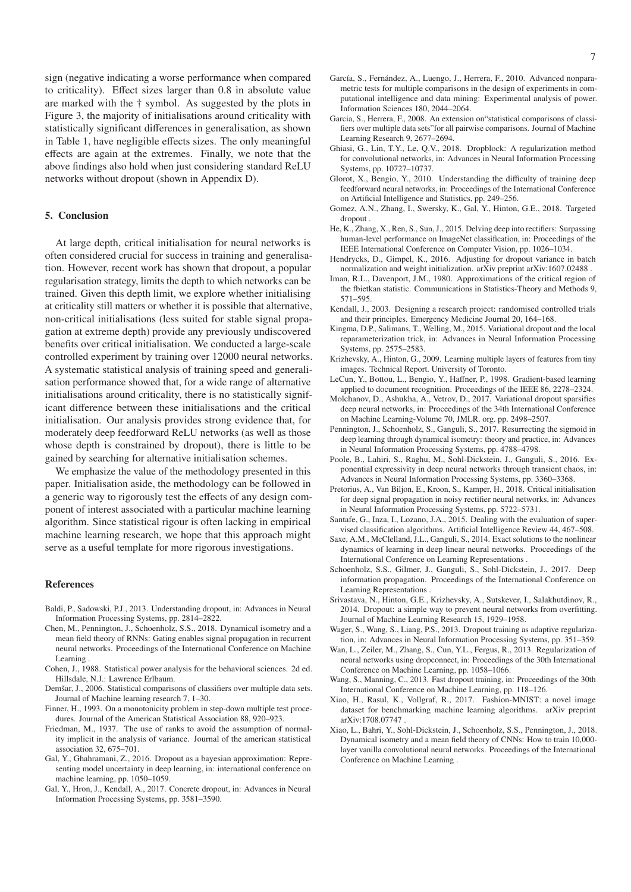sign (negative indicating a worse performance when compared to criticality). Effect sizes larger than 0.8 in absolute value are marked with the † symbol. As suggested by the plots in Figure 3, the majority of initialisations around criticality with statistically significant differences in generalisation, as shown in Table 1, have negligible effects sizes. The only meaningful effects are again at the extremes. Finally, we note that the above findings also hold when just considering standard ReLU networks without dropout (shown in Appendix D).

## 5. Conclusion

At large depth, critical initialisation for neural networks is often considered crucial for success in training and generalisation. However, recent work has shown that dropout, a popular regularisation strategy, limits the depth to which networks can be trained. Given this depth limit, we explore whether initialising at criticality still matters or whether it is possible that alternative, non-critical initialisations (less suited for stable signal propagation at extreme depth) provide any previously undiscovered benefits over critical initialisation. We conducted a large-scale controlled experiment by training over 12000 neural networks. A systematic statistical analysis of training speed and generalisation performance showed that, for a wide range of alternative initialisations around criticality, there is no statistically significant difference between these initialisations and the critical initialisation. Our analysis provides strong evidence that, for moderately deep feedforward ReLU networks (as well as those whose depth is constrained by dropout), there is little to be gained by searching for alternative initialisation schemes.

We emphasize the value of the methodology presented in this paper. Initialisation aside, the methodology can be followed in a generic way to rigorously test the effects of any design component of interest associated with a particular machine learning algorithm. Since statistical rigour is often lacking in empirical machine learning research, we hope that this approach might serve as a useful template for more rigorous investigations.

#### References

- Baldi, P., Sadowski, P.J., 2013. Understanding dropout, in: Advances in Neural Information Processing Systems, pp. 2814–2822.
- Chen, M., Pennington, J., Schoenholz, S.S., 2018. Dynamical isometry and a mean field theory of RNNs: Gating enables signal propagation in recurrent neural networks. Proceedings of the International Conference on Machine **Learning**
- Cohen, J., 1988. Statistical power analysis for the behavioral sciences. 2d ed. Hillsdale, N.J.: Lawrence Erlbaum.
- Demšar, J., 2006. Statistical comparisons of classifiers over multiple data sets. Journal of Machine learning research 7, 1–30.
- Finner, H., 1993. On a monotonicity problem in step-down multiple test procedures. Journal of the American Statistical Association 88, 920–923.
- Friedman, M., 1937. The use of ranks to avoid the assumption of normality implicit in the analysis of variance. Journal of the american statistical association 32, 675–701.
- Gal, Y., Ghahramani, Z., 2016. Dropout as a bayesian approximation: Representing model uncertainty in deep learning, in: international conference on machine learning, pp. 1050–1059.
- Gal, Y., Hron, J., Kendall, A., 2017. Concrete dropout, in: Advances in Neural Information Processing Systems, pp. 3581–3590.
- García, S., Fernández, A., Luengo, J., Herrera, F., 2010. Advanced nonparametric tests for multiple comparisons in the design of experiments in computational intelligence and data mining: Experimental analysis of power. Information Sciences 180, 2044–2064.
- Garcia, S., Herrera, F., 2008. An extension on"statistical comparisons of classifiers over multiple data sets"for all pairwise comparisons. Journal of Machine Learning Research 9, 2677–2694.
- Ghiasi, G., Lin, T.Y., Le, Q.V., 2018. Dropblock: A regularization method for convolutional networks, in: Advances in Neural Information Processing Systems, pp. 10727–10737.
- Glorot, X., Bengio, Y., 2010. Understanding the difficulty of training deep feedforward neural networks, in: Proceedings of the International Conference on Artificial Intelligence and Statistics, pp. 249–256.
- Gomez, A.N., Zhang, I., Swersky, K., Gal, Y., Hinton, G.E., 2018. Targeted dropout .
- He, K., Zhang, X., Ren, S., Sun, J., 2015. Delving deep into rectifiers: Surpassing human-level performance on ImageNet classification, in: Proceedings of the IEEE International Conference on Computer Vision, pp. 1026–1034.
- Hendrycks, D., Gimpel, K., 2016. Adjusting for dropout variance in batch normalization and weight initialization. arXiv preprint arXiv:1607.02488 .
- Iman, R.L., Davenport, J.M., 1980. Approximations of the critical region of the fbietkan statistic. Communications in Statistics-Theory and Methods 9, 571–595.
- Kendall, J., 2003. Designing a research project: randomised controlled trials and their principles. Emergency Medicine Journal 20, 164–168.
- Kingma, D.P., Salimans, T., Welling, M., 2015. Variational dropout and the local reparameterization trick, in: Advances in Neural Information Processing Systems, pp. 2575–2583.
- Krizhevsky, A., Hinton, G., 2009. Learning multiple layers of features from tiny images. Technical Report. University of Toronto.
- LeCun, Y., Bottou, L., Bengio, Y., Haffner, P., 1998. Gradient-based learning applied to document recognition. Proceedings of the IEEE 86, 2278–2324.
- Molchanov, D., Ashukha, A., Vetrov, D., 2017. Variational dropout sparsifies deep neural networks, in: Proceedings of the 34th International Conference on Machine Learning-Volume 70, JMLR. org. pp. 2498–2507.
- Pennington, J., Schoenholz, S., Ganguli, S., 2017. Resurrecting the sigmoid in deep learning through dynamical isometry: theory and practice, in: Advances in Neural Information Processing Systems, pp. 4788–4798.
- Poole, B., Lahiri, S., Raghu, M., Sohl-Dickstein, J., Ganguli, S., 2016. Exponential expressivity in deep neural networks through transient chaos, in: Advances in Neural Information Processing Systems, pp. 3360–3368.
- Pretorius, A., Van Biljon, E., Kroon, S., Kamper, H., 2018. Critical initialisation for deep signal propagation in noisy rectifier neural networks, in: Advances in Neural Information Processing Systems, pp. 5722–5731.
- Santafe, G., Inza, I., Lozano, J.A., 2015. Dealing with the evaluation of supervised classification algorithms. Artificial Intelligence Review 44, 467–508.
- Saxe, A.M., McClelland, J.L., Ganguli, S., 2014. Exact solutions to the nonlinear dynamics of learning in deep linear neural networks. Proceedings of the International Conference on Learning Representations .
- Schoenholz, S.S., Gilmer, J., Ganguli, S., Sohl-Dickstein, J., 2017. Deep information propagation. Proceedings of the International Conference on Learning Representations .
- Srivastava, N., Hinton, G.E., Krizhevsky, A., Sutskever, I., Salakhutdinov, R., 2014. Dropout: a simple way to prevent neural networks from overfitting. Journal of Machine Learning Research 15, 1929–1958.
- Wager, S., Wang, S., Liang, P.S., 2013. Dropout training as adaptive regularization, in: Advances in Neural Information Processing Systems, pp. 351–359.
- Wan, L., Zeiler, M., Zhang, S., Cun, Y.L., Fergus, R., 2013. Regularization of neural networks using dropconnect, in: Proceedings of the 30th International Conference on Machine Learning, pp. 1058–1066.
- Wang, S., Manning, C., 2013. Fast dropout training, in: Proceedings of the 30th International Conference on Machine Learning, pp. 118–126.
- Xiao, H., Rasul, K., Vollgraf, R., 2017. Fashion-MNIST: a novel image dataset for benchmarking machine learning algorithms. arXiv preprint arXiv:1708.07747 .
- Xiao, L., Bahri, Y., Sohl-Dickstein, J., Schoenholz, S.S., Pennington, J., 2018. Dynamical isometry and a mean field theory of CNNs: How to train 10,000 layer vanilla convolutional neural networks. Proceedings of the International Conference on Machine Learning .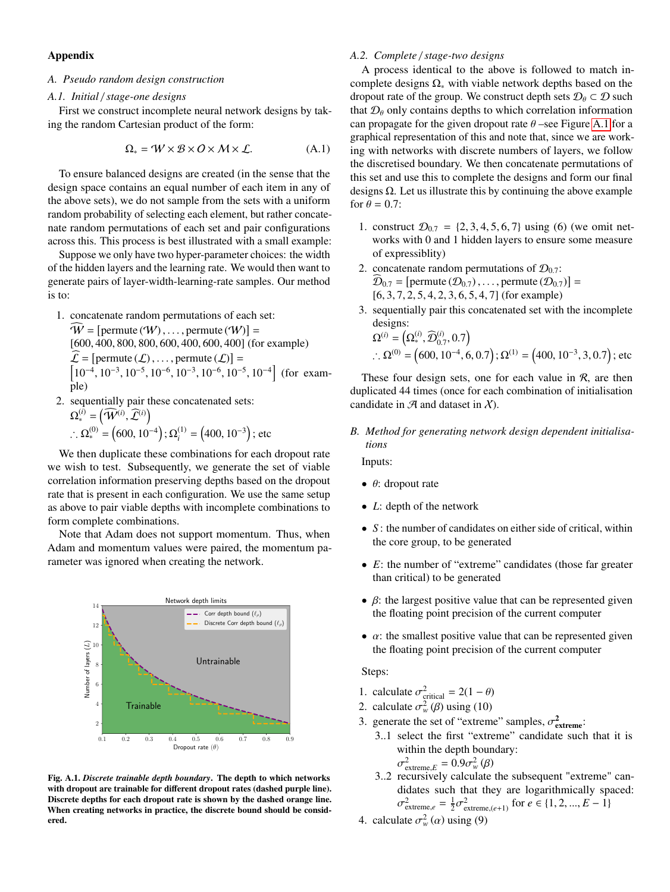# Appendix

#### *A. Pseudo random design construction*

## *A.1. Initial* / *stage-one designs*

First we construct incomplete neural network designs by taking the random Cartesian product of the form:

$$
\Omega_* = W \times B \times O \times M \times L. \tag{A.1}
$$

To ensure balanced designs are created (in the sense that the design space contains an equal number of each item in any of the above sets), we do not sample from the sets with a uniform random probability of selecting each element, but rather concatenate random permutations of each set and pair configurations across this. This process is best illustrated with a small example:

Suppose we only have two hyper-parameter choices: the width of the hidden layers and the learning rate. We would then want to generate pairs of layer-width-learning-rate samples. Our method is to:

- 1. concatenate random permutations of each set:  $W =$  [permute (W), ..., permute (W)] =<br>[600–400–800–800–600–400–600–400] (fc [600, <sup>400</sup>, <sup>800</sup>, <sup>800</sup>, <sup>600</sup>, <sup>400</sup>, <sup>600</sup>, 400] (for example)  $\mathcal{L} = [\text{permute}(\mathcal{L}), \dots, \text{permute}(\mathcal{L})] =$ <br> $\begin{bmatrix} 10^{-4} & 10^{-3} & 10^{-5} & 10^{-6} & 10^{-3} & 10^{-6} & 10^{-5} \end{bmatrix}$  $\left[10^{-4}, 10^{-3}, 10^{-5}, 10^{-6}, 10^{-3}, 10^{-6}, 10^{-5}, 10^{-4}\right]$  (for example)
- 2. sequentially pair these concatenated sets:  $\Omega_*^{(i)} = (\widehat{\mathcal{W}}^{(i)}, \widehat{\mathcal{L}}^{(i)})$ ∴  $\Omega_*^{(0)} = (600, 10^{-4})$ ;  $\Omega_i^{(1)} = (400, 10^{-3})$ ; etc

We then duplicate these combinations for each dropout rate we wish to test. Subsequently, we generate the set of viable correlation information preserving depths based on the dropout rate that is present in each configuration. We use the same setup as above to pair viable depths with incomplete combinations to form complete combinations.

Note that Adam does not support momentum. Thus, when Adam and momentum values were paired, the momentum parameter was ignored when creating the network.



Fig. A.1. *Discrete trainable depth boundary*. The depth to which networks with dropout are trainable for different dropout rates (dashed purple line). Discrete depths for each dropout rate is shown by the dashed orange line. When creating networks in practice, the discrete bound should be considered.

## *A.2. Complete* / *stage-two designs*

A process identical to the above is followed to match incomplete designs  $\Omega_*$  with viable network depths based on the dropout rate of the group. We construct depth sets  $\mathcal{D}_{\theta} \subset \mathcal{D}$  such that  $\mathcal{D}_{\theta}$  only contains depths to which correlation information can propagate for the given dropout rate  $\theta$  –see Figure [A.1](#page--1-0) for a graphical representation of this and note that, since we are working with networks with discrete numbers of layers, we follow the discretised boundary. We then concatenate permutations of this set and use this to complete the designs and form our final designs Ω. Let us illustrate this by continuing the above example for  $\theta = 0.7$ :

- 1. construct  $\mathcal{D}_{0.7} = \{2, 3, 4, 5, 6, 7\}$  using (6) (we omit networks with 0 and 1 hidden layers to ensure some measure of expressiblity)
- 2. concatenate random permutations of  $\mathcal{D}_{0.7}$ :  $\mathcal{D}_{0.7}$  = [permute  $(\mathcal{D}_{0.7}), \dots$ , permute  $(\mathcal{D}_{0.7})$ ] = <br>16.3.7.2.5.4.2.3.6.5.4.71 (for example) [6, <sup>3</sup>, <sup>7</sup>, <sup>2</sup>, <sup>5</sup>, <sup>4</sup>, <sup>2</sup>, <sup>3</sup>, <sup>6</sup>, <sup>5</sup>, <sup>4</sup>, 7] (for example)
- 3. sequentially pair this concatenated set with the incomplete designs:

$$
\Omega^{(i)} = (\Omega_*^{(i)}, \widehat{\mathcal{D}}_{0.7}^{(i)}, 0.7)
$$
  
 
$$
\therefore \Omega^{(0)} = (600, 10^{-4}, 6, 0.7); \Omega^{(1)} = (400, 10^{-3}, 3, 0.7); \text{ etc.}
$$

These four design sets, one for each value in  $R$ , are then duplicated 44 times (once for each combination of initialisation candidate in  $\mathcal A$  and dataset in  $\mathcal X$ ).

*B. Method for generating network design dependent initialisations*

Inputs:

- $\bullet$   $\theta$ : dropout rate
- *L*: depth of the network
- *S* : the number of candidates on either side of critical, within the core group, to be generated
- *E*: the number of "extreme" candidates (those far greater than critical) to be generated
- $\bullet$   $\beta$ : the largest positive value that can be represented given the floating point precision of the current computer
- $\alpha$ : the smallest positive value that can be represented given the floating point precision of the current computer

# Steps:

- 1. calculate  $\sigma_{\text{critical}}^2 = 2(1 \theta)$ <br>2. calculate  $\sigma^2(\theta)$  using (10)
- 2. calculate  $\sigma_w^2(\beta)$  using (10)
- 3. generate the set of "extreme" samples,  $\sigma_{\text{extreme}}^2$ :<br>
2. 1 solect the first "oxtrome" condidate quality
	- 3..1 select the first "extreme" candidate such that it is within the depth boundary: 2 2

$$
\sigma_{\text{extreme},E}^2 = 0.9 \sigma_w^2 \left( \beta \right)
$$

- $\sigma_{\text{extreme},E}^2 = 0.9 \sigma_w^2 (\beta)$ <br>3..2 recursively calculate the subsequent "extreme" candidates such that they are logarithmically spaced:  $\frac{2}{2}$  extreme,*e* =  $\frac{1}{2} \sigma_{\text{extreme},(e+1)}^2$  for *e* ∈ {1, 2, ..., *E* − 1}
- 4. calculate  $\sigma_w^2(\alpha)$  using (9)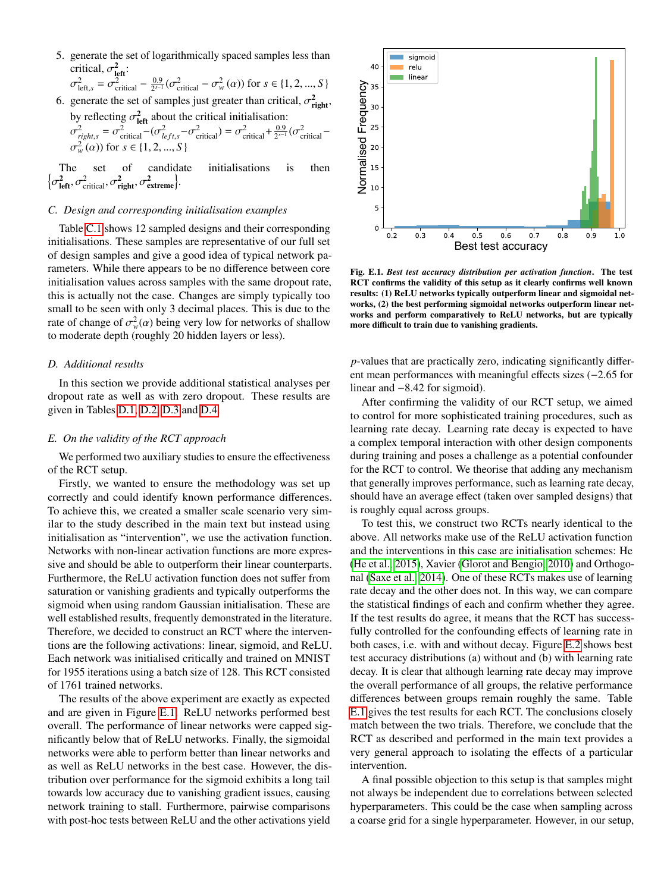5. generate the set of logarithmically spaced samples less than critical,  $\sigma_{\text{left}}^2$ :

$$
\sigma_{\text{left},s}^2 = \sigma_{\text{critical}}^2 - \frac{0.9}{2^{s-1}} (\sigma_{\text{critical}}^2 - \sigma_w^2(\alpha)) \text{ for } s \in \{1, 2, ..., S\}
$$

6. generate the set of samples just greater than critical,  $\sigma_{\text{right}}^2$ , by reflecting  $\sigma_{\text{left}}^2$  about the critical initialisation:

$$
\sigma_{\text{right},s}^2 = \sigma_{\text{critical}}^2 - (\sigma_{\text{left},s}^2 - \sigma_{\text{critical}}^2) = \sigma_{\text{critical}}^2 + \frac{0.9}{2^{s-1}} (\sigma_{\text{critical}}^2 - \sigma_{\text{w}}^2(\alpha)) \text{ for } s \in \{1, 2, ..., S\}
$$

The set of candidate initialisations is then n  $\frac{2}{\text{left}}, \sigma_{\text{critical}}^2, \sigma_{\text{right}}^2, \sigma_{\text{extreme}}^2\}.$ 

## *C. Design and corresponding initialisation examples*

Table [C.1](#page--1-1) shows 12 sampled designs and their corresponding initialisations. These samples are representative of our full set of design samples and give a good idea of typical network parameters. While there appears to be no difference between core initialisation values across samples with the same dropout rate, this is actually not the case. Changes are simply typically too small to be seen with only 3 decimal places. This is due to the rate of change of  $\sigma_w^2(\alpha)$  being very low for networks of shallow<br>to moderate denth (roughly 20 hidden layers or less) to moderate depth (roughly 20 hidden layers or less).

#### *D. Additional results*

In this section we provide additional statistical analyses per dropout rate as well as with zero dropout. These results are given in Tables [D.1,](#page--1-1) [D.2,](#page-10-0) [D.3](#page-10-1) and [D.4.](#page-10-2)

#### *E. On the validity of the RCT approach*

We performed two auxiliary studies to ensure the effectiveness of the RCT setup.

Firstly, we wanted to ensure the methodology was set up correctly and could identify known performance differences. To achieve this, we created a smaller scale scenario very similar to the study described in the main text but instead using initialisation as "intervention", we use the activation function. Networks with non-linear activation functions are more expressive and should be able to outperform their linear counterparts. Furthermore, the ReLU activation function does not suffer from saturation or vanishing gradients and typically outperforms the sigmoid when using random Gaussian initialisation. These are well established results, frequently demonstrated in the literature. Therefore, we decided to construct an RCT where the interventions are the following activations: linear, sigmoid, and ReLU. Each network was initialised critically and trained on MNIST for 1955 iterations using a batch size of 128. This RCT consisted of 1761 trained networks.

The results of the above experiment are exactly as expected and are given in Figure [E.1.](#page--1-0) ReLU networks performed best overall. The performance of linear networks were capped significantly below that of ReLU networks. Finally, the sigmoidal networks were able to perform better than linear networks and as well as ReLU networks in the best case. However, the distribution over performance for the sigmoid exhibits a long tail towards low accuracy due to vanishing gradient issues, causing network training to stall. Furthermore, pairwise comparisons with post-hoc tests between ReLU and the other activations yield



Fig. E.1. *Best test accuracy distribution per activation function*. The test RCT confirms the validity of this setup as it clearly confirms well known results: (1) ReLU networks typically outperform linear and sigmoidal networks, (2) the best performing sigmoidal networks outperform linear networks and perform comparatively to ReLU networks, but are typically more difficult to train due to vanishing gradients.

*p*-values that are practically zero, indicating significantly different mean performances with meaningful effects sizes (−2.<sup>65</sup> for linear and <sup>−</sup>8.42 for sigmoid).

After confirming the validity of our RCT setup, we aimed to control for more sophisticated training procedures, such as learning rate decay. Learning rate decay is expected to have a complex temporal interaction with other design components during training and poses a challenge as a potential confounder for the RCT to control. We theorise that adding any mechanism that generally improves performance, such as learning rate decay, should have an average effect (taken over sampled designs) that is roughly equal across groups.

To test this, we construct two RCTs nearly identical to the above. All networks make use of the ReLU activation function and the interventions in this case are initialisation schemes: He [\(He et al., 2015\)](#page--1-2), Xavier [\(Glorot and Bengio, 2010\)](#page--1-3) and Orthogonal [\(Saxe et al., 2014\)](#page--1-4). One of these RCTs makes use of learning rate decay and the other does not. In this way, we can compare the statistical findings of each and confirm whether they agree. If the test results do agree, it means that the RCT has successfully controlled for the confounding effects of learning rate in both cases, i.e. with and without decay. Figure [E.2](#page--1-5) shows best test accuracy distributions (a) without and (b) with learning rate decay. It is clear that although learning rate decay may improve the overall performance of all groups, the relative performance differences between groups remain roughly the same. Table [E.1](#page--1-1) gives the test results for each RCT. The conclusions closely match between the two trials. Therefore, we conclude that the RCT as described and performed in the main text provides a very general approach to isolating the effects of a particular intervention.

A final possible objection to this setup is that samples might not always be independent due to correlations between selected hyperparameters. This could be the case when sampling across a coarse grid for a single hyperparameter. However, in our setup,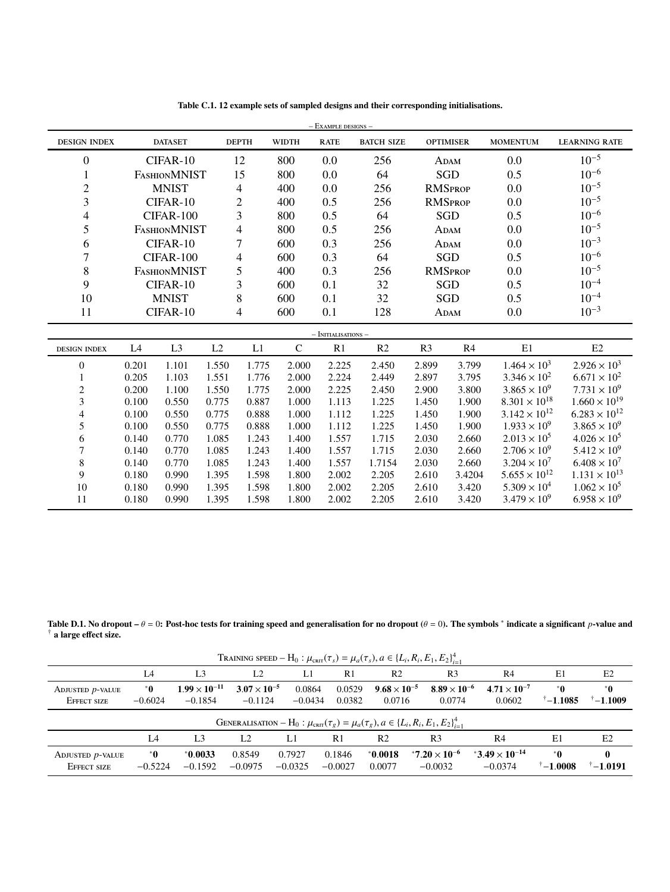| $-$ Example designs $-$  |       |                     |       |                          |              |                         |                   |                |                  |                        |                        |
|--------------------------|-------|---------------------|-------|--------------------------|--------------|-------------------------|-------------------|----------------|------------------|------------------------|------------------------|
| <b>DESIGN INDEX</b>      |       | <b>DATASET</b>      |       | <b>DEPTH</b>             | <b>WIDTH</b> | <b>RATE</b>             | <b>BATCH SIZE</b> |                | <b>OPTIMISER</b> | <b>MOMENTUM</b>        | <b>LEARNING RATE</b>   |
| $\boldsymbol{0}$         |       | CIFAR-10            |       | 12                       | 800          | 0.0                     | 256               |                | ADAM             | 0.0                    | $10^{-5}$              |
| 1                        |       | <b>FASHIONMNIST</b> |       | 15                       | 800          | 0.0                     | 64                |                | <b>SGD</b>       | 0.5                    | $10^{-6}$              |
| $\mathfrak{2}$           |       | <b>MNIST</b>        |       | 4                        | 400          | 0.0                     | 256               |                | <b>RMSPROP</b>   | 0.0                    | $10^{-5}$              |
| 3                        |       | CIFAR-10            |       | $\overline{c}$           | 400          | 0.5                     | 256               |                | <b>RMSPROP</b>   | 0.0                    | $10^{-5}$              |
| $\overline{\mathcal{L}}$ |       | CIFAR-100           |       | 3                        | 800          | 0.5                     | 64                |                | <b>SGD</b>       | 0.5                    | $10^{-6}$              |
| 5                        |       | <b>FASHIONMNIST</b> |       | $\overline{\mathcal{L}}$ | 800          | 0.5                     | 256               |                | ADAM             | 0.0                    | $10^{-5}$              |
| 6                        |       | CIFAR-10            |       | 7                        | 600          | 0.3                     | 256               |                | ADAM             | 0.0                    | $10^{-3}$              |
| $\overline{7}$           |       | CIFAR-100           |       | $\overline{\mathcal{A}}$ | 600          | 0.3                     | 64                |                | SGD              | 0.5                    | $10^{-6}$              |
| 8                        |       | <b>FASHIONMNIST</b> |       | 5                        | 400          | 0.3                     | 256               |                | <b>RMSPROP</b>   | 0.0                    | $10^{-5}$              |
| 9                        |       | CIFAR-10            |       | 3                        | 600          | 0.1                     | 32                |                | <b>SGD</b>       | 0.5                    | $10^{-4}$              |
| 10                       |       | <b>MNIST</b>        |       | 8                        | 600          | 0.1                     | 32                |                | <b>SGD</b>       | 0.5                    | $10^{-4}$              |
| 11                       |       | CIFAR-10            |       | 4                        | 600          | 0.1                     | 128               |                | ADAM             | 0.0                    | $10^{-3}$              |
|                          |       |                     |       |                          |              | $-$ Initialisations $-$ |                   |                |                  |                        |                        |
| <b>DESIGN INDEX</b>      | L4    | L <sub>3</sub>      | L2    | L1                       | $\mathsf{C}$ | R1                      | R <sub>2</sub>    | R <sub>3</sub> | R <sub>4</sub>   | E1                     | E2                     |
| $\boldsymbol{0}$         | 0.201 | 1.101               | 1.550 | 1.775                    | 2.000        | 2.225                   | 2.450             | 2.899          | 3.799            | $1.464 \times 10^{3}$  | $2.926 \times 10^{3}$  |
| $\mathbf{1}$             | 0.205 | 1.103               | 1.551 | 1.776                    | 2.000        | 2.224                   | 2.449             | 2.897          | 3.795            | $3.346 \times 10^{2}$  | $6.671 \times 10^{2}$  |
| $\boldsymbol{2}$         | 0.200 | 1.100               | 1.550 | 1.775                    | 2.000        | 2.225                   | 2.450             | 2.900          | 3.800            | $3.865 \times 10^{9}$  | $7.731 \times 10^{9}$  |
| $\mathfrak{Z}$           | 0.100 | 0.550               | 0.775 | 0.887                    | 1.000        | 1.113                   | 1.225             | 1.450          | 1.900            | $8.301 \times 10^{18}$ | $1.660 \times 10^{19}$ |
| $\overline{\mathcal{A}}$ | 0.100 | 0.550               | 0.775 | 0.888                    | 1.000        | 1.112                   | 1.225             | 1.450          | 1.900            | $3.142 \times 10^{12}$ | $6.283 \times 10^{12}$ |
| 5                        | 0.100 | 0.550               | 0.775 | 0.888                    | 1.000        | 1.112                   | 1.225             | 1.450          | 1.900            | $1.933 \times 10^{9}$  | $3.865 \times 10^{9}$  |
| 6                        | 0.140 | 0.770               | 1.085 | 1.243                    | 1.400        | 1.557                   | 1.715             | 2.030          | 2.660            | $2.013 \times 10^{5}$  | $4.026 \times 10^{5}$  |
| $\boldsymbol{7}$         | 0.140 | 0.770               | 1.085 | 1.243                    | 1.400        | 1.557                   | 1.715             | 2.030          | 2.660            | $2.706 \times 10^{9}$  | $5.412 \times 10^{9}$  |
| $\,8\,$                  | 0.140 | 0.770               | 1.085 | 1.243                    | 1.400        | 1.557                   | 1.7154            | 2.030          | 2.660            | $3.204 \times 10^{7}$  | $6.408 \times 10^{7}$  |
| 9                        | 0.180 | 0.990               | 1.395 | 1.598                    | 1.800        | 2.002                   | 2.205             | 2.610          | 3.4204           | $5.655 \times 10^{12}$ | $1.131 \times 10^{13}$ |
| $10\,$                   | 0.180 | 0.990               | 1.395 | 1.598                    | 1.800        | 2.002                   | 2.205             | 2.610          | 3.420            | $5.309 \times 10^{4}$  | $1.062 \times 10^{5}$  |
| 11                       | 0.180 | 0.990               | 1.395 | 1.598                    | 1.800        | 2.002                   | 2.205             | 2.610          | 3.420            | $3.479 \times 10^{9}$  | $6.958 \times 10^{9}$  |

Table C.1. 12 example sets of sampled designs and their corresponding initialisations.

Table D.1. No dropout –  $\theta = 0$ : Post-hoc tests for training speed and generalisation for no dropout ( $\theta = 0$ ). The symbols  $^*$  indicate a significant *p*-value and  $\dagger$  a large effect size † a large effect size.

| TRAINING SPEED - H <sub>0</sub> : $\mu_{\text{cnrt}}(\tau_s) = \mu_a(\tau_s)$ , $a \in \{L_i, R_i, E_1, E_2\}_{i=1}^4$ |                 |                                     |                                    |                     |                     |                                 |                                              |                                      |                                 |                        |  |
|------------------------------------------------------------------------------------------------------------------------|-----------------|-------------------------------------|------------------------------------|---------------------|---------------------|---------------------------------|----------------------------------------------|--------------------------------------|---------------------------------|------------------------|--|
|                                                                                                                        | L4              | L3                                  | L2                                 | L1                  | R1                  | R <sub>2</sub>                  | R <sub>3</sub>                               | R4                                   | E1                              | E2                     |  |
| ADJUSTED $p$ -VALUE<br>EFFECT SIZE                                                                                     | *0<br>$-0.6024$ | $1.99 \times 10^{-11}$<br>$-0.1854$ | $3.07 \times 10^{-5}$<br>$-0.1124$ | 0.0864<br>$-0.0434$ | 0.0529<br>0.0382    | $9.68 \times 10^{-5}$<br>0.0716 | $8.89 \times 10^{-6}$<br>0.0774              | $4.71 \times 10^{-7}$<br>0.0602      | $^*$ 0<br>$^{\dagger} - 1.1085$ | $^*$ 0<br>$-1.1009$    |  |
| GENERALISATION – H <sub>0</sub> : $\mu_{\text{cnrt}}(\tau_g) = \mu_a(\tau_g), a \in \{L_i, R_i, E_1, E_2\}_{i=1}^4$    |                 |                                     |                                    |                     |                     |                                 |                                              |                                      |                                 |                        |  |
|                                                                                                                        | L4              | L <sub>3</sub>                      | L2                                 | L1                  | R <sub>1</sub>      | R <sub>2</sub>                  | R <sub>3</sub>                               | R <sub>4</sub>                       | E1                              | E <sub>2</sub>         |  |
| ADJUSTED <i>p</i> -VALUE<br>EFFECT SIZE                                                                                | *0<br>$-0.5224$ | $*0.0033$<br>$-0.1592$              | 0.8549<br>$-0.0975$                | 0.7927<br>$-0.0325$ | 0.1846<br>$-0.0027$ | $*0.0018$<br>0.0077             | *7.20 $\times$ 10 <sup>-6</sup><br>$-0.0032$ | $*3.49 \times 10^{-14}$<br>$-0.0374$ | $^*$ 0<br>$^{\dagger} - 1.0008$ | 0<br>$\dagger$ -1.0191 |  |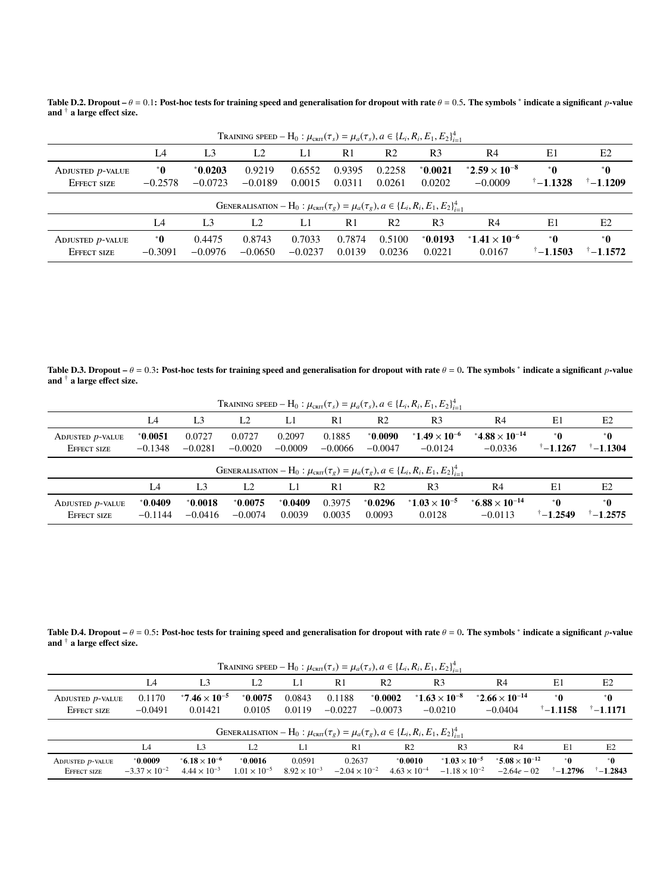<span id="page-10-0"></span>Table D.2. Dropout –  $\theta = 0.1$ : Post-hoc tests for training speed and generalisation for dropout with rate  $\theta = 0.5$ . The symbols  $^*$  indicate a significant *p*-value and † a large effect size.

| TRAINING SPEED - H <sub>0</sub> : $\mu_{\text{cnrt}}(\tau_s) = \mu_a(\tau_s)$ , $a \in \{L_i, R_i, E_1, E_2\}_{i=1}^4$ |                     |                        |                     |                     |                  |                  |                     |                                    |                          |                            |
|------------------------------------------------------------------------------------------------------------------------|---------------------|------------------------|---------------------|---------------------|------------------|------------------|---------------------|------------------------------------|--------------------------|----------------------------|
|                                                                                                                        | IA                  | L <sub>3</sub>         | L2                  | L1                  | R <sub>1</sub>   | R <sub>2</sub>   | R <sub>3</sub>      | R4                                 | E1                       | E2                         |
| ADJUSTED <i>p</i> -VALUE<br>EFFECT SIZE                                                                                | *0<br>$-0.2578$     | $*0.0203$<br>$-0.0723$ | 0.9219<br>$-0.0189$ | 0.6552<br>0.0015    | 0.9395<br>0.0311 | 0.2258<br>0.0261 | $*0.0021$<br>0.0202 | $2.59 \times 10^{-8}$<br>$-0.0009$ | *0<br>$\sqrt[+1.1328]$   | *0<br>$^{\dagger}$ -1.1209 |
| GENERALISATION – H <sub>0</sub> : $\mu_{\text{cnrt}}(\tau_g) = \mu_a(\tau_g), a \in \{L_i, R_i, E_1, E_2\}_{i=1}^4$    |                     |                        |                     |                     |                  |                  |                     |                                    |                          |                            |
|                                                                                                                        | L <sub>4</sub>      | L <sub>3</sub>         | L <sub>2</sub>      | L1                  | R <sub>1</sub>   | R <sub>2</sub>   | R <sub>3</sub>      | R4                                 | E1                       | E2                         |
| ADJUSTED <i>p</i> -VALUE<br>EFFECT SIZE                                                                                | $^*$ 0<br>$-0.3091$ | 0.4475<br>$-0.0976$    | 0.8743<br>$-0.0650$ | 0.7033<br>$-0.0237$ | 0.7874<br>0.0139 | 0.5100<br>0.0236 | $*0.0193$<br>0.0221 | $*1.41 \times 10^{-6}$<br>0.0167   | *0<br>$\uparrow$ -1.1503 | *0<br>$\sqrt[+1.1572]$     |

<span id="page-10-1"></span>Table D.3. Dropout –  $\theta = 0.3$ : Post-hoc tests for training speed and generalisation for dropout with rate  $\theta = 0$ . The symbols \* indicate a significant *p*-value and <sup>†</sup> a large effect size and † a large effect size.

| TRAINING SPEED - H <sub>0</sub> : $\mu_{\text{cnrt}}(\tau_s) = \mu_a(\tau_s)$ , $a \in \{L_i, R_i, E_1, E_2\}_{i=1}^4$ |                        |                        |                        |                     |                     |                        |                                     |                                       |                                |                             |  |
|------------------------------------------------------------------------------------------------------------------------|------------------------|------------------------|------------------------|---------------------|---------------------|------------------------|-------------------------------------|---------------------------------------|--------------------------------|-----------------------------|--|
|                                                                                                                        | IA                     | L <sub>3</sub>         | L <sub>2</sub>         | L1                  | R <sub>1</sub>      | R <sub>2</sub>         | R <sub>3</sub>                      | R <sub>4</sub>                        | E1                             | E2                          |  |
| ADJUSTED <i>p</i> -VALUE<br>EFFECT SIZE                                                                                | $*0.0051$<br>$-0.1348$ | 0.0727<br>$-0.0281$    | 0.0727<br>$-0.0020$    | 0.2097<br>$-0.0009$ | 0.1885<br>$-0.0066$ | $*0.0090$<br>$-0.0047$ | $*1.49 \times 10^{-6}$<br>$-0.0124$ | * $4.88 \times 10^{-14}$<br>$-0.0336$ | $^*$ 0<br>$^{\dagger}$ -1.1267 | *0<br>$^{\dagger} - 1.1304$ |  |
| GENERALISATION – H <sub>0</sub> : $\mu_{\text{cnrt}}(\tau_g) = \mu_a(\tau_g), a \in \{L_i, R_i, E_1, E_2\}_{i=1}^4$    |                        |                        |                        |                     |                     |                        |                                     |                                       |                                |                             |  |
|                                                                                                                        | L <sub>4</sub>         | L <sub>3</sub>         | L <sub>2</sub>         | L1                  | R <sub>1</sub>      | R <sub>2</sub>         | R <sub>3</sub>                      | R4                                    | E1                             | E2                          |  |
| ADJUSTED <i>p</i> -VALUE<br>EFFECT SIZE                                                                                | *0.0409<br>$-0.1144$   | $*0.0018$<br>$-0.0416$ | $*0.0075$<br>$-0.0074$ | $*0.0409$<br>0.0039 | 0.3975<br>0.0035    | $*0.0296$<br>0.0093    | $*1.03 \times 10^{-5}$<br>0.0128    | $*6.88 \times 10^{-14}$<br>$-0.0113$  | *0<br>$^{\dagger} - 1.2549$    | *0<br>$^{\dagger} - 1.2575$ |  |

<span id="page-10-2"></span>Table D.4. Dropout –  $\theta = 0.5$ : Post-hoc tests for training speed and generalisation for dropout with rate  $\theta = 0$ . The symbols \* indicate a significant *p*-value and <sup>†</sup> a large effect size and † a large effect size.

| TRAINING SPEED - H <sub>0</sub> : $\mu_{\text{cnrt}}(\tau_s) = \mu_a(\tau_s)$ , $a \in \{L_i, R_i, E_1, E_2\}_{i=1}^4$ |                                   |                                                 |                                    |                                 |                                  |                                    |                                                 |                                               |                             |                             |
|------------------------------------------------------------------------------------------------------------------------|-----------------------------------|-------------------------------------------------|------------------------------------|---------------------------------|----------------------------------|------------------------------------|-------------------------------------------------|-----------------------------------------------|-----------------------------|-----------------------------|
|                                                                                                                        | L <sub>4</sub>                    | L3                                              | L <sub>2</sub>                     | LI                              | R <sub>1</sub>                   | R <sub>2</sub>                     | R <sub>3</sub>                                  | R4                                            | E1                          | E2                          |
| ADJUSTED <i>p</i> -VALUE<br>EFFECT SIZE                                                                                | 0.1170<br>$-0.0491$               | *7.46 $\times$ 10 <sup>-5</sup><br>0.01421      | $*0.0075$<br>0.0105                | 0.0843<br>0.0119                | 0.1188<br>$-0.0227$              | $*0.0002$<br>$-0.0073$             | $*1.63 \times 10^{-8}$<br>$-0.0210$             | *2.66 $\times$ 10 <sup>-14</sup><br>$-0.0404$ | *0<br>$^{\dagger} - 1.1158$ | *0<br>$^{\dagger} - 1.1171$ |
| GENERALISATION – H <sub>0</sub> : $\mu_{\text{cnrt}}(\tau_g) = \mu_a(\tau_g), a \in \{L_i, R_i, E_1, E_2\}_{i=1}^4$    |                                   |                                                 |                                    |                                 |                                  |                                    |                                                 |                                               |                             |                             |
|                                                                                                                        | L4                                | L <sub>3</sub>                                  | L <sub>2</sub>                     | L1                              | R <sub>1</sub>                   | R <sub>2</sub>                     | R <sub>3</sub>                                  | R <sub>4</sub>                                | E1                          | E2                          |
| ADJUSTED $p$ -VALUE<br>EFFECT SIZE                                                                                     | *0.0009<br>$-3.37 \times 10^{-2}$ | $*6.18 \times 10^{-6}$<br>$4.44 \times 10^{-3}$ | $*0.0016$<br>$1.01 \times 10^{-5}$ | 0.0591<br>$8.92 \times 10^{-3}$ | 0.2637<br>$-2.04 \times 10^{-2}$ | $*0.0010$<br>$4.63 \times 10^{-4}$ | $1.03 \times 10^{-5}$<br>$-1.18 \times 10^{-2}$ | $*5.08 \times 10^{-12}$<br>$-2.64e - 02$      | *0<br>$\sqrt[+1.2796]$      | $^*$ 0<br>$-1.2843$         |